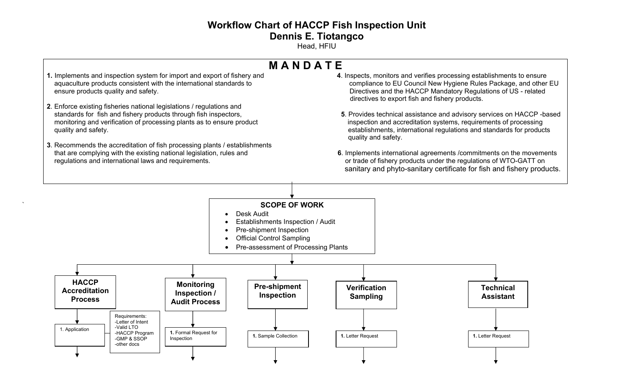## **Workflow Chart of HACCP Fish Inspection Unit Dennis E. Tiotangco**

Head, HFIU

## **M A N D A T E**

- **1.** Implements and inspection system for import and export of fishery and **4**. Inspects, monitors and verifies processing establishments to ensure ensure products quality and safety. Directives and the HACCP Mandatory Regulations of US - related
- **2**. Enforce existing fisheries national legislations / regulations and monitoring and verification of processing plants as to ensure product inspection and accreditation systems, requirements of processing
- **3**. Recommends the accreditation of fish processing plants / establishments that are complying with the existing national legislation, rules and requlations and international laws and requirements.
- aquaculture products consistent with the international standards to example and compliance to EU Council New Hygiene Rules Package, and other EU directives to export fish and fishery products.
- **5**. Provides technical assistance and advisory services on HACCP -based quality and safety. establishments, international regulations and standards for products quality and safety.
	- **6**. Implements international agreements /commitments on the movements or trade of fishery products under the regulations of WTO-GATT on sanitary and phyto-sanitary certificate for fish and fishery products.